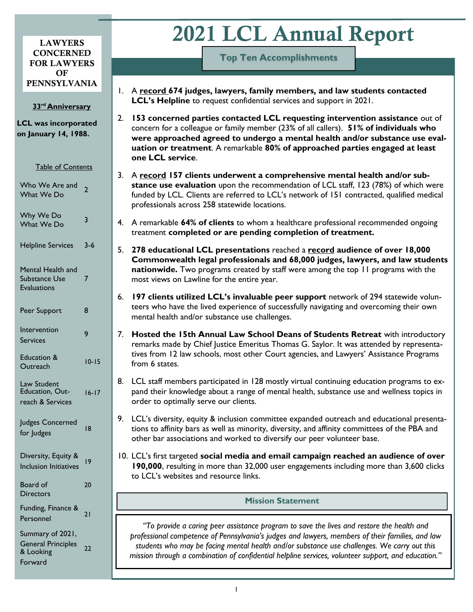#### LAWYERS **CONCERNED** FOR LAWYERS OF PENNSYLVANIA

#### **33rd Anniversary**

**LCL was incorporated on January 14, 1988.**

| <b>Table of Contents</b>                                 |                |
|----------------------------------------------------------|----------------|
| Who We Are and<br>What We Do                             | $\overline{2}$ |
| Why We Do<br>What We Do                                  | 3              |
| <b>Helpline Services</b>                                 | 3-6            |
| Mental Health and<br>Substance Use<br><b>Evaluations</b> | 7              |
| Peer Support                                             | 8              |
| Intervention<br>Services                                 | 9              |
| Education &<br>Outreach                                  | $10 - 15$      |
| Law Student<br>Education, Out-<br>reach & Services       | $16 - 17$      |
| Judges Concerned<br>for Judges                           | 18             |
| Diversity, Equity &<br><b>Inclusion Initiatives</b>      | 19             |
| Board of<br><b>Directors</b>                             | 20             |
| Funding, Finance &<br>Personnel                          | 21             |
| Summary of 2021,<br><b>General Principles</b>            |                |

& Looking Forward

22

# 2021 LCL Annual Report

**Top Ten Accomplishments**

- 1. A **record 674 judges, lawyers, family members, and law students contacted LCL's Helpline** to request confidential services and support in 2021.
- 2. **153 concerned parties contacted LCL requesting intervention assistance** out of concern for a colleague or family member (23% of all callers). **51% of individuals who were approached agreed to undergo a mental health and/or substance use evaluation or treatment**. A remarkable **80% of approached parties engaged at least one LCL service**.
- 3. A **record 157 clients underwent a comprehensive mental health and/or substance use evaluation** upon the recommendation of LCL staff, 123 (78%) of which were funded by LCL. Clients are referred to LCL's network of 151 contracted, qualified medical professionals across 258 statewide locations.
- 4. A remarkable **64% of clients** to whom a healthcare professional recommended ongoing treatment **completed or are pending completion of treatment.**
- 5. **278 educational LCL presentations** reached a **record audience of over 18,000 Commonwealth legal professionals and 68,000 judges, lawyers, and law students nationwide.** Two programs created by staff were among the top 11 programs with the most views on Lawline for the entire year.
- 6. **197 clients utilized LCL's invaluable peer support** network of 294 statewide volunteers who have the lived experience of successfully navigating and overcoming their own mental health and/or substance use challenges.
- 7. **Hosted the 15th Annual Law School Deans of Students Retreat** with introductory remarks made by Chief Justice Emeritus Thomas G. Saylor. It was attended by representatives from 12 law schools, most other Court agencies, and Lawyers' Assistance Programs from 6 states.
- 8. LCL staff members participated in 128 mostly virtual continuing education programs to expand their knowledge about a range of mental health, substance use and wellness topics in order to optimally serve our clients.
- 9. LCL's diversity, equity & inclusion committee expanded outreach and educational presentations to affinity bars as well as minority, diversity, and affinity committees of the PBA and other bar associations and worked to diversify our peer volunteer base.
- 10. LCL's first targeted **social media and email campaign reached an audience of over 190,000**, resulting in more than 32,000 user engagements including more than 3,600 clicks to LCL's websites and resource links.

# **Mission Statement**

*"To provide a caring peer assistance program to save the lives and restore the health and professional competence of Pennsylvania's judges and lawyers, members of their families, and law students who may be facing mental health and/or substance use challenges. We carry out this mission through a combination of confidential helpline services, volunteer support, and education."*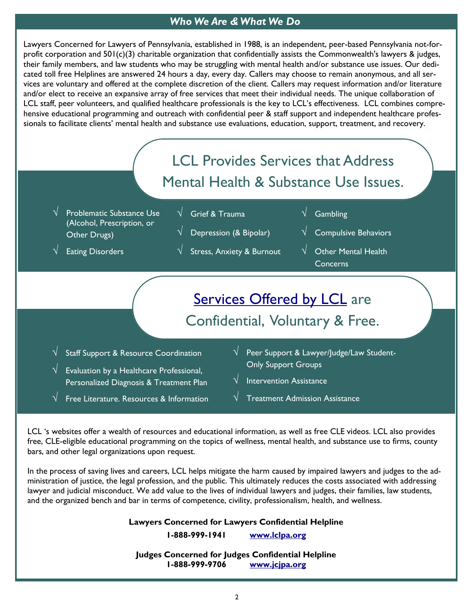# *Who We Are & What We Do*

Lawyers Concerned for Lawyers of Pennsylvania, established in 1988, is an independent, peer-based Pennsylvania not-forprofit corporation and 501(c)(3) charitable organization that confidentially assists the Commonwealth's lawyers & judges, their family members, and law students who may be struggling with mental health and/or substance use issues. Our dedicated toll free Helplines are answered 24 hours a day, every day. Callers may choose to remain anonymous, and all services are voluntary and offered at the complete discretion of the client. Callers may request information and/or literature and/or elect to receive an expansive array of free services that meet their individual needs. The unique collaboration of LCL staff, peer volunteers, and qualified healthcare professionals is the key to LCL's effectiveness. LCL combines comprehensive educational programming and outreach with confidential peer & staff support and independent healthcare professionals to facilitate clients' mental health and substance use evaluations, education, support, treatment, and recovery.



LCL 's websites offer a wealth of resources and educational information, as well as free CLE videos. LCL also provides free, CLE-eligible educational programming on the topics of wellness, mental health, and substance use to firms, county bars, and other legal organizations upon request.

In the process of saving lives and careers, LCL helps mitigate the harm caused by impaired lawyers and judges to the administration of justice, the legal profession, and the public. This ultimately reduces the costs associated with addressing lawyer and judicial misconduct. We add value to the lives of individual lawyers and judges, their families, law students, and the organized bench and bar in terms of competence, civility, professionalism, health, and wellness.

**Lawyers Concerned for Lawyers Confidential Helpline**

**1-888-999-1941 [www.lclpa.org](http://www.lclpa.org)**

**Judges Concerned for Judges Confidential Helpline 1-888-999-9706 [www.jcjpa.org](http://www.jcjpa.org)**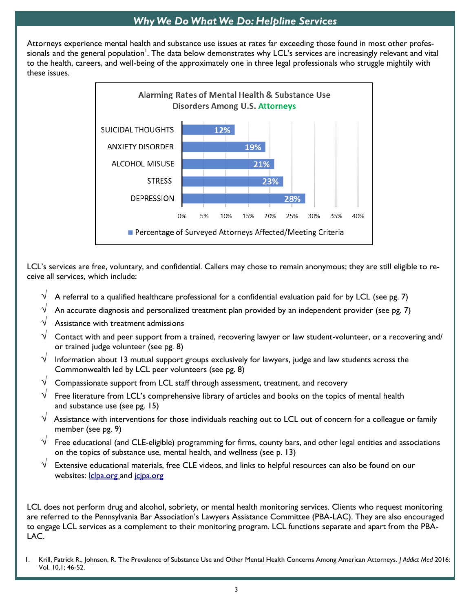# *Why We Do What We Do: Helpline Services*

Attorneys experience mental health and substance use issues at rates far exceeding those found in most other professionals and the general population<sup>!</sup>. The data below demonstrates why LCL's services are increasingly relevant and vital to the health, careers, and well-being of the approximately one in three legal professionals who struggle mightily with these issues.



LCL's services are free, voluntary, and confidential. Callers may chose to remain anonymous; they are still eligible to receive all services, which include:

- A referral to a qualified healthcare professional for a confidential evaluation paid for by LCL (see pg. 7)
- $\sqrt{-}$  An accurate diagnosis and personalized treatment plan provided by an independent provider (see pg. 7)
- Assistance with treatment admissions
- Contact with and peer support from a trained, recovering lawyer or law student-volunteer, or a recovering and/ or trained judge volunteer (see pg. 8)
- Information about 13 mutual support groups exclusively for lawyers, judge and law students across the Commonwealth led by LCL peer volunteers (see pg. 8)
- $\sqrt{ }$  Compassionate support from LCL staff through assessment, treatment, and recovery
- $\sqrt{\phantom{a}}$  Free literature from LCL's comprehensive library of articles and books on the topics of mental health and substance use (see pg. 15)
- $\sqrt{ }$  Assistance with interventions for those individuals reaching out to LCL out of concern for a colleague or family member (see pg. 9)
- $\sqrt{-}$  Free educational (and CLE-eligible) programming for firms, county bars, and other legal entities and associations on the topics of substance use, mental health, and wellness (see p. 13)
- Extensive educational materials, free CLE videos, and links to helpful resources can also be found on our websites: *[lclpa.org](http://www.lclpa.org)* and *jcjpa.org*

LCL does not perform drug and alcohol, sobriety, or mental health monitoring services. Clients who request monitoring are referred to the Pennsylvania Bar Association's Lawyers Assistance Committee (PBA-LAC). They are also encouraged to engage LCL services as a complement to their monitoring program. LCL functions separate and apart from the PBA-LAC.

1. Krill, Patrick R., Johnson, R. The Prevalence of Substance Use and Other Mental Health Concerns Among American Attorneys. *J Addict Med* 2016: Vol. 10,1; 46-52.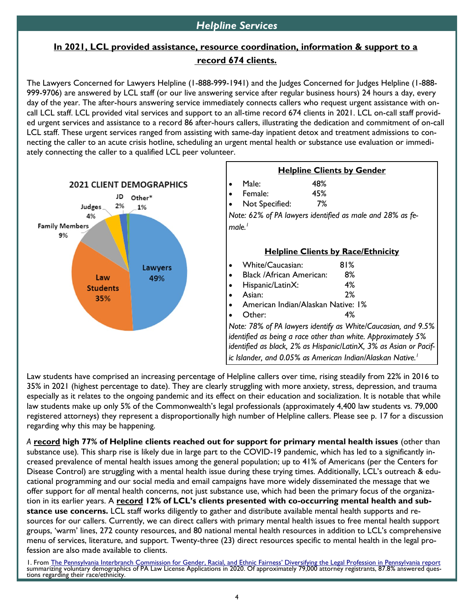# **In 2021, LCL provided assistance, resource coordination, information & support to a record 674 clients.**

The Lawyers Concerned for Lawyers Helpline (1-888-999-1941) and the Judges Concerned for Judges Helpline (1-888- 999-9706) are answered by LCL staff (or our live answering service after regular business hours) 24 hours a day, every day of the year. The after-hours answering service immediately connects callers who request urgent assistance with oncall LCL staff. LCL provided vital services and support to an all-time record 674 clients in 2021. LCL on-call staff provided urgent services and assistance to a record 86 after-hours callers, illustrating the dedication and commitment of on-call LCL staff. These urgent services ranged from assisting with same-day inpatient detox and treatment admissions to connecting the caller to an acute crisis hotline, scheduling an urgent mental health or substance use evaluation or immediately connecting the caller to a qualified LCL peer volunteer.



Law students have comprised an increasing percentage of Helpline callers over time, rising steadily from 22% in 2016 to 35% in 2021 (highest percentage to date). They are clearly struggling with more anxiety, stress, depression, and trauma especially as it relates to the ongoing pandemic and its effect on their education and socialization. It is notable that while law students make up only 5% of the Commonwealth's legal professionals (approximately 4,400 law students vs. 79,000 registered attorneys) they represent a disproportionally high number of Helpline callers. Please see p. 17 for a discussion regarding why this may be happening.

*A* **record high 77% of Helpline clients reached out for support for primary mental health issues** (other than substance use)*.* This sharp rise is likely due in large part to the COVID-19 pandemic, which has led to a significantly increased prevalence of mental health issues among the general population; up to 41% of Americans (per the Centers for Disease Control) are struggling with a mental health issue during these trying times. Additionally, LCL's outreach & educational programming and our social media and email campaigns have more widely disseminated the message that we offer support for *all* mental health concerns, not just substance use, which had been the primary focus of the organization in its earlier years. A **record 12% of LCL's clients presented with co-occurring mental health and substance use concerns.** LCL staff works diligently to gather and distribute available mental health supports and resources for our callers. Currently, we can direct callers with primary mental health issues to free mental health support groups, 'warm' lines, 272 county resources, and 80 national mental health resources in addition to LCL's comprehensive menu of services, literature, and support. Twenty-three (23) direct resources specific to mental health in the legal profession are also made available to clients.

1. From [The Pennsylvania Interbranch Commission for Gender, Racial, and Ethnic Fairness' Diversifying the Legal Profession in Pennsyl](https://pa-interbranchcommission.com/one-page-graphic-sheet-of-2020-pa-attorney-demographic-data/)vania report summarizing volunťary demographics of PA Law License Applications in 2020. Of approximately 79,000 attorney registrants, 87.8% answered ques-<br>tions regarding their race/ethnicity.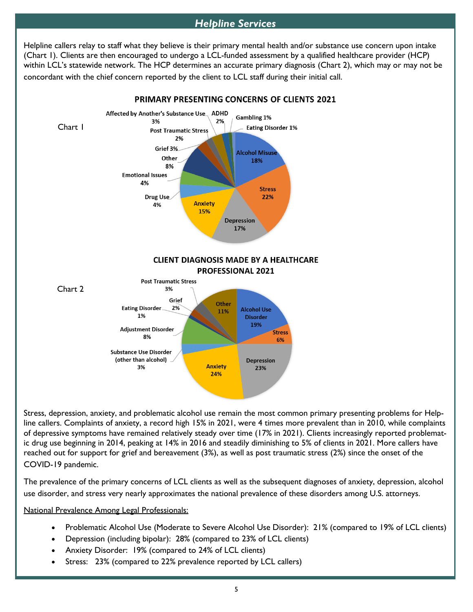# *Helpline Services*

Helpline callers relay to staff what they believe is their primary mental health and/or substance use concern upon intake (Chart 1). Clients are then encouraged to undergo a LCL-funded assessment by a qualified healthcare provider (HCP) within LCL's statewide network. The HCP determines an accurate primary diagnosis (Chart 2), which may or may not be concordant with the chief concern reported by the client to LCL staff during their initial call.



Stress, depression, anxiety, and problematic alcohol use remain the most common primary presenting problems for Helpline callers. Complaints of anxiety, a record high 15% in 2021, were 4 times more prevalent than in 2010, while complaints of depressive symptoms have remained relatively steady over time (17% in 2021). Clients increasingly reported problematic drug use beginning in 2014, peaking at 14% in 2016 and steadily diminishing to 5% of clients in 2021. More callers have reached out for support for grief and bereavement (3%), as well as post traumatic stress (2%) since the onset of the COVID-19 pandemic.

The prevalence of the primary concerns of LCL clients as well as the subsequent diagnoses of anxiety, depression, alcohol use disorder, and stress very nearly approximates the national prevalence of these disorders among U.S. attorneys.

#### National Prevalence Among Legal Professionals:

- Problematic Alcohol Use (Moderate to Severe Alcohol Use Disorder): 21% (compared to 19% of LCL clients)
- Depression (including bipolar): 28% (compared to 23% of LCL clients)
- Anxiety Disorder: 19% (compared to 24% of LCL clients)
- Stress: 23% (compared to 22% prevalence reported by LCL callers)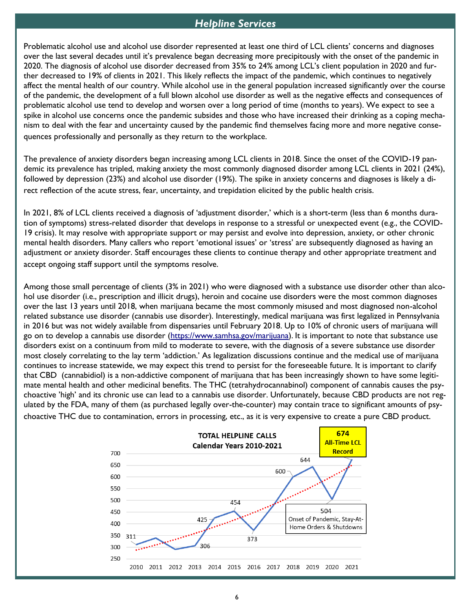#### *Helpline Services*

Problematic alcohol use and alcohol use disorder represented at least one third of LCL clients' concerns and diagnoses over the last several decades until it's prevalence began decreasing more precipitously with the onset of the pandemic in 2020. The diagnosis of alcohol use disorder decreased from 35% to 24% among LCL's client population in 2020 and further decreased to 19% of clients in 2021. This likely reflects the impact of the pandemic, which continues to negatively affect the mental health of our country. While alcohol use in the general population increased significantly over the course of the pandemic, the development of a full blown alcohol use disorder as well as the negative effects and consequences of problematic alcohol use tend to develop and worsen over a long period of time (months to years). We expect to see a spike in alcohol use concerns once the pandemic subsides and those who have increased their drinking as a coping mechanism to deal with the fear and uncertainty caused by the pandemic find themselves facing more and more negative consequences professionally and personally as they return to the workplace.

The prevalence of anxiety disorders began increasing among LCL clients in 2018. Since the onset of the COVID-19 pandemic its prevalence has tripled, making anxiety the most commonly diagnosed disorder among LCL clients in 2021 (24%), followed by depression (23%) and alcohol use disorder (19%). The spike in anxiety concerns and diagnoses is likely a direct reflection of the acute stress, fear, uncertainty, and trepidation elicited by the public health crisis.

In 2021, 8% of LCL clients received a diagnosis of 'adjustment disorder,' which is a short-term (less than 6 months duration of symptoms) stress-related disorder that develops in response to a stressful or unexpected event (e.g., the COVID-19 crisis). It may resolve with appropriate support or may persist and evolve into depression, anxiety, or other chronic mental health disorders. Many callers who report 'emotional issues' or 'stress' are subsequently diagnosed as having an adjustment or anxiety disorder. Staff encourages these clients to continue therapy and other appropriate treatment and accept ongoing staff support until the symptoms resolve.

Among those small percentage of clients (3% in 2021) who were diagnosed with a substance use disorder other than alcohol use disorder (i.e., prescription and illicit drugs), heroin and cocaine use disorders were the most common diagnoses over the last 13 years until 2018, when marijuana became the most commonly misused and most diagnosed non-alcohol related substance use disorder (cannabis use disorder). Interestingly, medical marijuana was first legalized in Pennsylvania in 2016 but was not widely available from dispensaries until February 2018. Up to 10% of chronic users of marijuana will go on to develop a cannabis use disorder ([https://www.samhsa.gov/marijuana\)](https://www.samhsa.gov/marijuana). It is important to note that substance use disorders exist on a continuum from mild to moderate to severe, with the diagnosis of a severe substance use disorder most closely correlating to the lay term 'addiction.' As legalization discussions continue and the medical use of marijuana continues to increase statewide, we may expect this trend to persist for the foreseeable future. It is important to clarify that CBD (cannabidiol) is a non-addictive component of marijuana that has been increasingly shown to have some legitimate mental health and other medicinal benefits. The THC (tetrahydrocannabinol) component of cannabis causes the psychoactive 'high' and its chronic use can lead to a cannabis use disorder. Unfortunately, because CBD products are not regulated by the FDA, many of them (as purchased legally over-the-counter) may contain trace to significant amounts of psychoactive THC due to contamination, errors in processing, etc., as it is very expensive to create a pure CBD product.

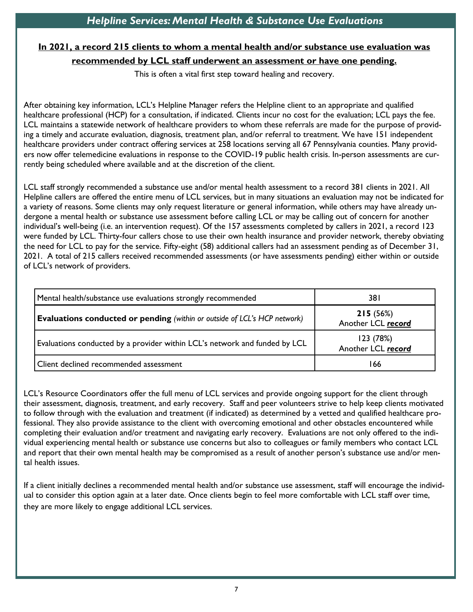# **In 2021, a record 215 clients to whom a mental health and/or substance use evaluation was recommended by LCL staff underwent an assessment or have one pending.**

This is often a vital first step toward healing and recovery.

After obtaining key information, LCL's Helpline Manager refers the Helpline client to an appropriate and qualified healthcare professional (HCP) for a consultation, if indicated. Clients incur no cost for the evaluation; LCL pays the fee. LCL maintains a statewide network of healthcare providers to whom these referrals are made for the purpose of providing a timely and accurate evaluation, diagnosis, treatment plan, and/or referral to treatment. We have 151 independent healthcare providers under contract offering services at 258 locations serving all 67 Pennsylvania counties. Many providers now offer telemedicine evaluations in response to the COVID-19 public health crisis. In-person assessments are currently being scheduled where available and at the discretion of the client.

LCL staff strongly recommended a substance use and/or mental health assessment to a record 381 clients in 2021. All Helpline callers are offered the entire menu of LCL services, but in many situations an evaluation may not be indicated for a variety of reasons. Some clients may only request literature or general information, while others may have already undergone a mental health or substance use assessment before calling LCL or may be calling out of concern for another individual's well-being (i.e. an intervention request). Of the 157 assessments completed by callers in 2021, a record 123 were funded by LCL. Thirty-four callers chose to use their own health insurance and provider network, thereby obviating the need for LCL to pay for the service. Fifty-eight (58) additional callers had an assessment pending as of December 31, 2021. A total of 215 callers received recommended assessments (or have assessments pending) either within or outside of LCL's network of providers.

| Mental health/substance use evaluations strongly recommended                     | 38 I                            |
|----------------------------------------------------------------------------------|---------------------------------|
| <b>Evaluations conducted or pending</b> (within or outside of LCL's HCP network) | 215(56%)<br>Another LCL record  |
| Evaluations conducted by a provider within LCL's network and funded by LCL       | 123 (78%)<br>Another LCL record |
| Client declined recommended assessment                                           | 166                             |

LCL's Resource Coordinators offer the full menu of LCL services and provide ongoing support for the client through their assessment, diagnosis, treatment, and early recovery. Staff and peer volunteers strive to help keep clients motivated to follow through with the evaluation and treatment (if indicated) as determined by a vetted and qualified healthcare professional. They also provide assistance to the client with overcoming emotional and other obstacles encountered while completing their evaluation and/or treatment and navigating early recovery. Evaluations are not only offered to the individual experiencing mental health or substance use concerns but also to colleagues or family members who contact LCL and report that their own mental health may be compromised as a result of another person's substance use and/or mental health issues.

If a client initially declines a recommended mental health and/or substance use assessment, staff will encourage the individual to consider this option again at a later date. Once clients begin to feel more comfortable with LCL staff over time, they are more likely to engage additional LCL services.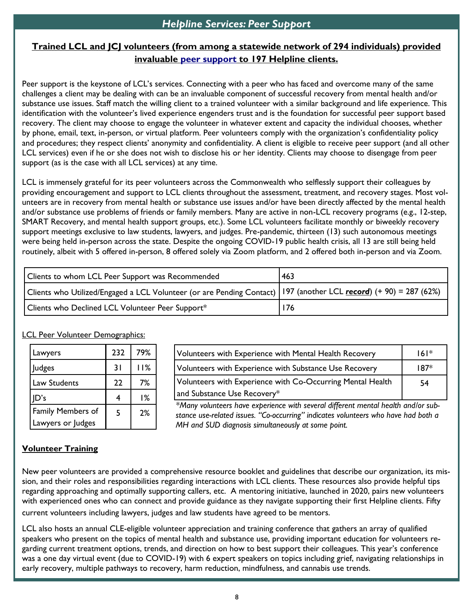# **Trained LCL and JCJ volunteers (from among a statewide network of 294 individuals) provided invaluable [peer support](https://www.lclpa.org/peer-support/) to 197 Helpline clients.**

Peer support is the keystone of LCL's services. Connecting with a peer who has faced and overcome many of the same challenges a client may be dealing with can be an invaluable component of successful recovery from mental health and/or substance use issues. Staff match the willing client to a trained volunteer with a similar background and life experience. This identification with the volunteer's lived experience engenders trust and is the foundation for successful peer support based recovery. The client may choose to engage the volunteer in whatever extent and capacity the individual chooses, whether by phone, email, text, in-person, or virtual platform. Peer volunteers comply with the organization's confidentiality policy and procedures; they respect clients' anonymity and confidentiality. A client is eligible to receive peer support (and all other LCL services) even if he or she does not wish to disclose his or her identity. Clients may choose to disengage from peer support (as is the case with all LCL services) at any time.

LCL is immensely grateful for its peer volunteers across the Commonwealth who selflessly support their colleagues by providing encouragement and support to LCL clients throughout the assessment, treatment, and recovery stages. Most volunteers are in recovery from mental health or substance use issues and/or have been directly affected by the mental health and/or substance use problems of friends or family members. Many are active in non-LCL recovery programs (e.g., 12-step, SMART Recovery, and mental health support groups, etc.). Some LCL volunteers facilitate monthly or biweekly recovery support meetings exclusive to law students, lawyers, and judges. Pre-pandemic, thirteen (13) such autonomous meetings were being held in-person across the state. Despite the ongoing COVID-19 public health crisis, all 13 are still being held routinely, albeit with 5 offered in-person, 8 offered solely via Zoom platform, and 2 offered both in-person and via Zoom.

| Clients to whom LCL Peer Support was Recommended                                                                    | 463 |  |  |
|---------------------------------------------------------------------------------------------------------------------|-----|--|--|
| Clients who Utilized/Engaged a LCL Volunteer (or are Pending Contact)   197 (another LCL record) (+ 90) = 287 (62%) |     |  |  |
| Clients who Declined LCL Volunteer Peer Support*                                                                    | 176 |  |  |

#### **LCL Peer Volunteer Demographics:**

| Lawyers                  | 232 | 79% |
|--------------------------|-----|-----|
| Judges                   | 31  | 11% |
| Law Students             | 22  | 7%  |
| D's                      | 4   | 1%  |
| <b>Family Members of</b> | 5   | 2%  |
| Lawyers or Judges        |     |     |

| Volunteers with Experience with Mental Health Recovery     | 6      |
|------------------------------------------------------------|--------|
| Volunteers with Experience with Substance Use Recovery     | $187*$ |
| Volunteers with Experience with Co-Occurring Mental Health | 54     |
| and Substance Use Recovery*                                |        |

*\*Many volunteers have experience with several different mental health and/or substance use-related issues. "Co-occurring" indicates volunteers who have had both a MH and SUD diagnosis simultaneously at some point.*

### **Volunteer Training**

New peer volunteers are provided a comprehensive resource booklet and guidelines that describe our organization, its mission, and their roles and responsibilities regarding interactions with LCL clients. These resources also provide helpful tips regarding approaching and optimally supporting callers, etc. A mentoring initiative, launched in 2020, pairs new volunteers with experienced ones who can connect and provide guidance as they navigate supporting their first Helpline clients. Fifty current volunteers including lawyers, judges and law students have agreed to be mentors.

LCL also hosts an annual CLE-eligible volunteer appreciation and training conference that gathers an array of qualified speakers who present on the topics of mental health and substance use, providing important education for volunteers regarding current treatment options, trends, and direction on how to best support their colleagues. This year's conference was a one day virtual event (due to COVID-19) with 6 expert speakers on topics including grief, navigating relationships in early recovery, multiple pathways to recovery, harm reduction, mindfulness, and cannabis use trends.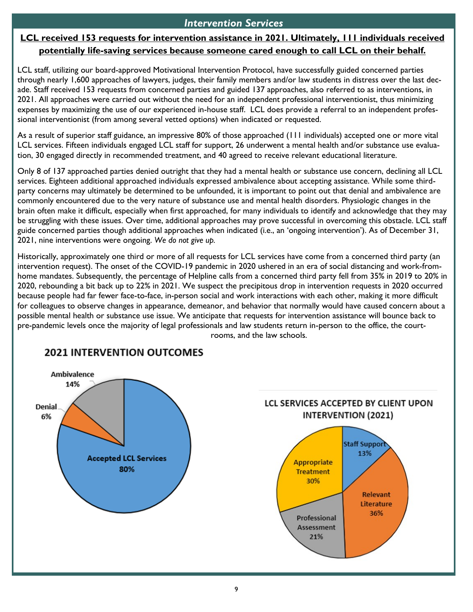## *Intervention Services*

# **LCL received 153 requests for intervention assistance in 2021. Ultimately, 111 individuals received potentially life-saving services because someone cared enough to call LCL on their behalf.**

LCL staff, utilizing our board-approved Motivational Intervention Protocol, have successfully guided concerned parties through nearly 1,600 approaches of lawyers, judges, their family members and/or law students in distress over the last decade. Staff received 153 requests from concerned parties and guided 137 approaches, also referred to as interventions, in 2021. All approaches were carried out without the need for an independent professional interventionist, thus minimizing expenses by maximizing the use of our experienced in-house staff. LCL does provide a referral to an independent professional interventionist (from among several vetted options) when indicated or requested.

As a result of superior staff guidance, an impressive 80% of those approached (111 individuals) accepted one or more vital LCL services. Fifteen individuals engaged LCL staff for support, 26 underwent a mental health and/or substance use evaluation, 30 engaged directly in recommended treatment, and 40 agreed to receive relevant educational literature.

Only 8 of 137 approached parties denied outright that they had a mental health or substance use concern, declining all LCL services. Eighteen additional approached individuals expressed ambivalence about accepting assistance. While some thirdparty concerns may ultimately be determined to be unfounded, it is important to point out that denial and ambivalence are commonly encountered due to the very nature of substance use and mental health disorders. Physiologic changes in the brain often make it difficult, especially when first approached, for many individuals to identify and acknowledge that they may be struggling with these issues. Over time, additional approaches may prove successful in overcoming this obstacle. LCL staff guide concerned parties though additional approaches when indicated (i.e., an 'ongoing intervention'). As of December 31, 2021, nine interventions were ongoing. *We do not give up.*

Historically, approximately one third or more of all requests for LCL services have come from a concerned third party (an intervention request). The onset of the COVID-19 pandemic in 2020 ushered in an era of social distancing and work-fromhome mandates. Subsequently, the percentage of Helpline calls from a concerned third party fell from 35% in 2019 to 20% in 2020, rebounding a bit back up to 22% in 2021. We suspect the precipitous drop in intervention requests in 2020 occurred because people had far fewer face-to-face, in-person social and work interactions with each other, making it more difficult for colleagues to observe changes in appearance, demeanor, and behavior that normally would have caused concern about a possible mental health or substance use issue. We anticipate that requests for intervention assistance will bounce back to pre-pandemic levels once the majority of legal professionals and law students return in-person to the office, the court-

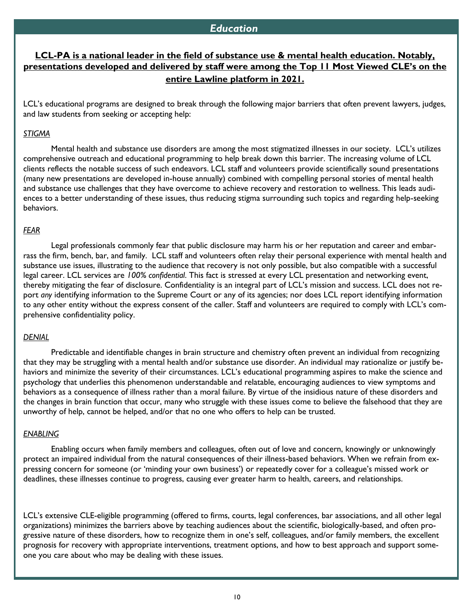## **LCL-PA is a national leader in the field of substance use & mental health education. Notably, presentations developed and delivered by staff were among the Top 11 Most Viewed CLE's on the entire Lawline platform in 2021.**

LCL's educational programs are designed to break through the following major barriers that often prevent lawyers, judges, and law students from seeking or accepting help:

#### *STIGMA*

Mental health and substance use disorders are among the most stigmatized illnesses in our society. LCL's utilizes comprehensive outreach and educational programming to help break down this barrier. The increasing volume of LCL clients reflects the notable success of such endeavors. LCL staff and volunteers provide scientifically sound presentations (many new presentations are developed in-house annually) combined with compelling personal stories of mental health and substance use challenges that they have overcome to achieve recovery and restoration to wellness. This leads audiences to a better understanding of these issues, thus reducing stigma surrounding such topics and regarding help-seeking behaviors.

#### *FEAR*

Legal professionals commonly fear that public disclosure may harm his or her reputation and career and embarrass the firm, bench, bar, and family. LCL staff and volunteers often relay their personal experience with mental health and substance use issues, illustrating to the audience that recovery is not only possible, but also compatible with a successful legal career. LCL services are *100% confidential*. This fact is stressed at every LCL presentation and networking event, thereby mitigating the fear of disclosure. Confidentiality is an integral part of LCL's mission and success. LCL does not report *any* identifying information to the Supreme Court or any of its agencies; nor does LCL report identifying information to any other entity without the express consent of the caller. Staff and volunteers are required to comply with LCL's comprehensive confidentiality policy.

#### *DENIAL*

Predictable and identifiable changes in brain structure and chemistry often prevent an individual from recognizing that they may be struggling with a mental health and/or substance use disorder. An individual may rationalize or justify behaviors and minimize the severity of their circumstances. LCL's educational programming aspires to make the science and psychology that underlies this phenomenon understandable and relatable, encouraging audiences to view symptoms and behaviors as a consequence of illness rather than a moral failure. By virtue of the insidious nature of these disorders and the changes in brain function that occur, many who struggle with these issues come to believe the falsehood that they are unworthy of help, cannot be helped, and/or that no one who offers to help can be trusted.

#### *ENABLING*

Enabling occurs when family members and colleagues, often out of love and concern, knowingly or unknowingly protect an impaired individual from the natural consequences of their illness-based behaviors. When we refrain from expressing concern for someone (or 'minding your own business') or repeatedly cover for a colleague's missed work or deadlines, these illnesses continue to progress, causing ever greater harm to health, careers, and relationships.

LCL's extensive CLE-eligible programming (offered to firms, courts, legal conferences, bar associations, and all other legal organizations) minimizes the barriers above by teaching audiences about the scientific, biologically-based, and often progressive nature of these disorders, how to recognize them in one's self, colleagues, and/or family members, the excellent prognosis for recovery with appropriate interventions, treatment options, and how to best approach and support someone you care about who may be dealing with these issues.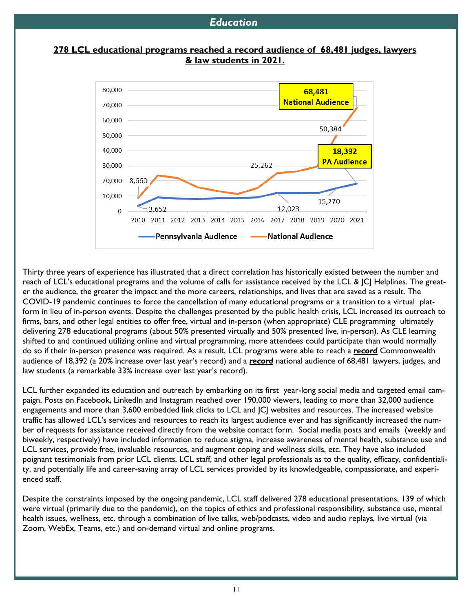#### **278 LCL educational programs reached a record audience of 68,481 judges, lawyers & law students in 2021.**



Thirty three years of experience has illustrated that a direct correlation has historically existed between the number and reach of LCL's educational programs and the volume of calls for assistance received by the LCL & JCJ Helplines. The greater the audience, the greater the impact and the more careers, relationships, and lives that are saved as a result. The COVID-19 pandemic continues to force the cancellation of many educational programs or a transition to a virtual platform in lieu of in-person events. Despite the challenges presented by the public health crisis, LCL increased its outreach to firms, bars, and other legal entities to offer free, virtual and in-person (when appropriate) CLE programming ultimately delivering 278 educational programs (about 50% presented virtually and 50% presented live, in-person). As CLE learning shifted to and continued utilizing online and virtual programming, more attendees could participate than would normally do so if their in-person presence was required. As a result, LCL programs were able to reach a *record* Commonwealth audience of 18,392 (a 20% increase over last year's record) and a *record* national audience of 68,481 lawyers, judges, and law students (a remarkable 33% increase over last year's record).

LCL further expanded its education and outreach by embarking on its first year-long social media and targeted email campaign. Posts on Facebook, LinkedIn and Instagram reached over 190,000 viewers, leading to more than 32,000 audience engagements and more than 3,600 embedded link clicks to LCL and JCJ websites and resources. The increased website traffic has allowed LCL's services and resources to reach its largest audience ever and has significantly increased the number of requests for assistance received directly from the website contact form. Social media posts and emails (weekly and biweekly, respectively) have included information to reduce stigma, increase awareness of mental health, substance use and LCL services, provide free, invaluable resources, and augment coping and wellness skills, etc. They have also included poignant testimonials from prior LCL clients, LCL staff, and other legal professionals as to the quality, efficacy, confidentiality, and potentially life and career-saving array of LCL services provided by its knowledgeable, compassionate, and experienced staff.

Despite the constraints imposed by the ongoing pandemic, LCL staff delivered 278 educational presentations, 139 of which were virtual (primarily due to the pandemic), on the topics of ethics and professional responsibility, substance use, mental health issues, wellness, etc. through a combination of live talks, web/podcasts, video and audio replays, live virtual (via Zoom, WebEx, Teams, etc.) and on-demand virtual and online programs.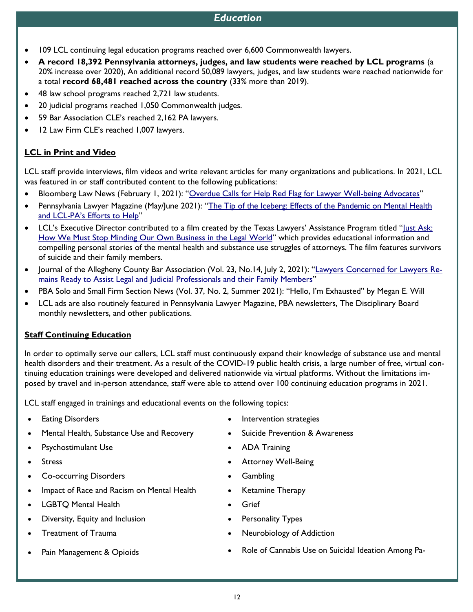- 109 LCL continuing legal education programs reached over 6,600 Commonwealth lawyers.
- **A record 18,392 Pennsylvania attorneys, judges, and law students were reached by LCL programs** (a 20% increase over 2020), An additional record 50,089 lawyers, judges, and law students were reached nationwide for a total **record 68,481 reached across the country** (33% more than 2019).
- 48 law school programs reached 2,721 law students.
- 20 judicial programs reached 1,050 Commonwealth judges.
- 59 Bar Association CLE's reached 2,162 PA lawyers.
- 12 Law Firm CLE's reached 1,007 lawyers.

#### **LCL in Print and Video**

LCL staff provide interviews, film videos and write relevant articles for many organizations and publications. In 2021, LCL was featured in or staff contributed content to the following publications:

- Bloomberg Law News (February 1, 2021): "[Overdue Calls for Help Red Flag for Lawyer Well-being Advocates](https://news.bloomberglaw.com/us-law-week/overdue-calls-for-help-red-flag-for-lawyer-well-being-advocates)"
- Pennsylvania Lawyer Magazine (May/June 2021): "[The Tip of the Iceberg: Effects of the Pandemic on Mental Health](https://bt.e-ditionsbyfry.com/publication/?m=36933&i=704532&p=32&ver=html5)  and LCL-[PA's Efforts to Help"](https://bt.e-ditionsbyfry.com/publication/?m=36933&i=704532&p=32&ver=html5)
- LCL's Executive Director contributed to a film created by the Texas Lawyers' Assistance Program titled "[Just Ask:](https://www.youtube.com/watch?v=Q0O3198ip0I)  [How We Must Stop Minding Our Own Business in the Legal World](https://www.youtube.com/watch?v=Q0O3198ip0I)" which provides educational information and compelling personal stories of the mental health and substance use struggles of attorneys. The film features survivors of suicide and their family members.
- Journal of the Allegheny County Bar Association (Vol. 23, No.14, July 2, 2021): "[Lawyers Concerned for Lawyers Re](https://cv.acba.org/Portals/0/pdf/TLJ/LJ-14-070221.pdf)[mains Ready to Assist Legal and Judicial Professionals and their Family Members](https://cv.acba.org/Portals/0/pdf/TLJ/LJ-14-070221.pdf)"
- PBA Solo and Small Firm Section News (Vol. 37, No. 2, Summer 2021): "Hello, I'm Exhausted" by Megan E. Will
- LCL ads are also routinely featured in Pennsylvania Lawyer Magazine, PBA newsletters, The Disciplinary Board monthly newsletters, and other publications.

#### **Staff Continuing Education**

In order to optimally serve our callers, LCL staff must continuously expand their knowledge of substance use and mental health disorders and their treatment. As a result of the COVID-19 public health crisis, a large number of free, virtual continuing education trainings were developed and delivered nationwide via virtual platforms. Without the limitations imposed by travel and in-person attendance, staff were able to attend over 100 continuing education programs in 2021.

LCL staff engaged in trainings and educational events on the following topics:

- 
- Mental Health, Substance Use and Recovery Suicide Prevention & Awareness
- Psychostimulant Use ADA Training
- 
- Co-occurring Disorders Gambling
- Impact of Race and Racism on Mental Health Ketamine Therapy
- LGBTQ Mental Health Grief
- Diversity, Equity and Inclusion Personality Types
- 
- 
- Eating Disorders Intervention strategies
	-
	-
- Stress Stress Attorney Well-Being
	-
	-
	-
	-
- Treatment of Trauma  **Neurobiology of Addiction** 
	- Pain Management & Opioids Role of Cannabis Use on Suicidal Ideation Among Pa-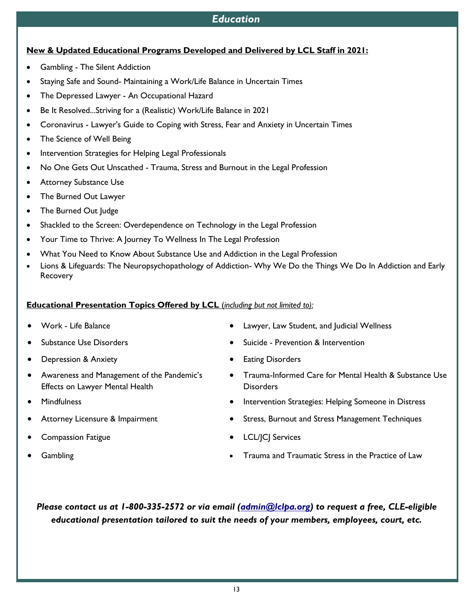# **New & Updated Educational Programs Developed and Delivered by LCL Staff in 2021:**

- Gambling The Silent Addiction
- Staying Safe and Sound- Maintaining a Work/Life Balance in Uncertain Times
- The Depressed Lawyer An Occupational Hazard
- Be It Resolved...Striving for a (Realistic) Work/Life Balance in 2021
- Coronavirus Lawyer's Guide to Coping with Stress, Fear and Anxiety in Uncertain Times
- The Science of Well Being
- Intervention Strategies for Helping Legal Professionals
- No One Gets Out Unscathed Trauma, Stress and Burnout in the Legal Profession
- Attorney Substance Use
- The Burned Out Lawyer
- The Burned Out Judge
- Shackled to the Screen: Overdependence on Technology in the Legal Profession
- Your Time to Thrive: A Journey To Wellness In The Legal Profession
- What You Need to Know About Substance Use and Addiction in the Legal Profession
- Lions & Lifeguards: The Neuropsychopathology of Addiction- Why We Do the Things We Do In Addiction and Early **Recovery**

## **Educational Presentation Topics Offered by LCL** (*including but not limited to):*

- 
- 
- Depression & Anxiety  **Eating Disorders**
- Awareness and Management of the Pandemic's Effects on Lawyer Mental Health
- 
- 
- 
- 
- Work Life Balance Lawyer, Law Student, and Judicial Wellness
- Substance Use Disorders Suicide Prevention & Intervention
	-
	- Trauma-Informed Care for Mental Health & Substance Use **Disorders**
- Mindfulness Intervention Strategies: Helping Someone in Distress
- Attorney Licensure & Impairment Comparent Stress, Burnout and Stress Management Techniques
- Compassion Fatigue LCL/JCJ Services
- Gambling  **Cambling Cambling 1999 Gambling** *•* **Trauma and Traumatic Stress in the Practice of Law**

*Please contact us at 1-800-335-2572 or via email [\(admin@lclpa.org\)](mailto:admin@lclpa.org) to request a free, CLE-eligible educational presentation tailored to suit the needs of your members, employees, court, etc.*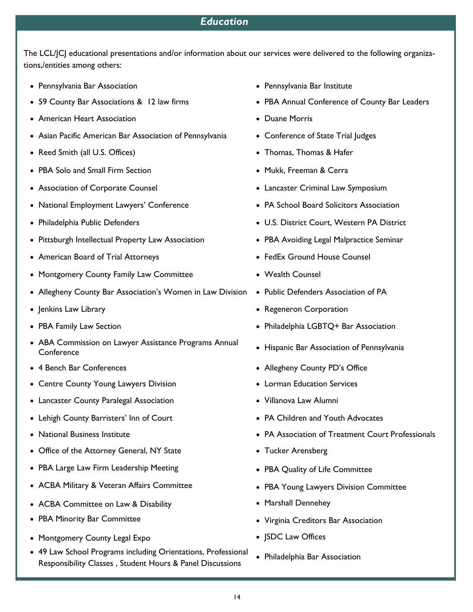The LCL/JCJ educational presentations and/or information about our services were delivered to the following organizations,/entities among others:

- Pennsylvania Bar Association Pennsylvania Bar Institute
- 
- American Heart Association **Example 2018** Duane Morris
- Asian Pacific American Bar Association of Pennsylvania Conference of State Trial Judges
- Reed Smith (all U.S. Offices) Thomas, Thomas & Hafer
- PBA Solo and Small Firm Section  **Mukk, Freeman & Cerra** Mukk, Freeman & Cerra
- 
- National Employment Lawyers' Conference • PA School Board Solicitors Association
- 
- Pittsburgh Intellectual Property Law Association PBA Avoiding Legal Malpractice Seminar
- American Board of Trial Attorneys  **FedEx Ground House Counsel**
- Montgomery County Family Law Committee Vealth Counsel
- Allegheny County Bar Association's Women in Law Division Public Defenders Association of PA
- 
- 
- ABA Commission on Lawyer Assistance Programs Annual ABA Commission on Lawyer Assistance Frograms Annual • Hispanic Bar Association of Pennsylvania
- 
- Centre County Young Lawyers Division Centre County Pounds Cervices
- Lancaster County Paralegal Association Villanova Law Alumni
- Lehigh County Barristers' Inn of Court PA Children and Youth Advocates
- 
- Office of the Attorney General, NY State  **Tucker Arensberg**
- PBA Large Law Firm Leadership Meeting  **PBA Quality of Life Committee**
- ACBA Military & Veteran Affairs Committee PBA Young Lawyers Division Committee
- ACBA Committee on Law & Disability Marshall Dennehey
- PBA Minority Bar Committee *Virginia Creditors Bar Association*
- Montgomery County Legal Expo JSDC Law Offices
- 49 Law School Programs including Orientations, Professional Responsibility Classes , Student Hours & Panel Discussions
- 
- 59 County Bar Associations & 12 law firms PBA Annual Conference of County Bar Leaders
	-
	-
	-
	-
- Association of Corporate Counsel Lancaster Criminal Law Symposium
	-
- Philadelphia Public Defenders U.S. District Court, Western PA District
	-
	-
	-
	-
- Jenkins Law Library *Regeneron Corporation* Regeneron Corporation
- PBA Family Law Section **Philadelphia LGBTQ+ Bar Association** Philadelphia LGBTQ+ Bar Association
	-
- 4 Bench Bar Conferences Allegheny County PD's Office
	-
	-
	-
- National Business Institute PA Association of Treatment Court Professionals
	-
	-
	-
	-
	-
	-
	- Philadelphia Bar Association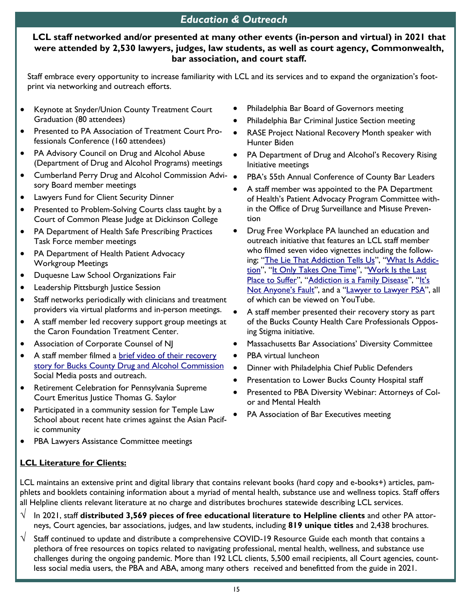# *Education & Outreach*

#### **LCL staff networked and/or presented at many other events (in-person and virtual) in 2021 that were attended by 2,530 lawyers, judges, law students, as well as court agency, Commonwealth, bar association, and court staff.**

Staff embrace every opportunity to increase familiarity with LCL and its services and to expand the organization's footprint via networking and outreach efforts.

- Keynote at Snyder/Union County Treatment Court Graduation (80 attendees)
- Presented to PA Association of Treatment Court Professionals Conference (160 attendees)
- PA Advisory Council on Drug and Alcohol Abuse (Department of Drug and Alcohol Programs) meetings
- Cumberland Perry Drug and Alcohol Commission Advi- sory Board member meetings
- Lawyers Fund for Client Security Dinner
- Presented to Problem-Solving Courts class taught by a Court of Common Please Judge at Dickinson College
- PA Department of Health Safe Prescribing Practices Task Force member meetings
- PA Department of Health Patient Advocacy Workgroup Meetings
- Duquesne Law School Organizations Fair
- Leadership Pittsburgh Justice Session
- Staff networks periodically with clinicians and treatment providers via virtual platforms and in-person meetings.
- A staff member led recovery support group meetings at the Caron Foundation Treatment Center.
- Association of Corporate Counsel of NJ
- A staff member filmed a brief video of their recovery [story for Bucks County Drug and Alcohol Commission](https://www.dropbox.com/s/5aockdm61aryszk/IMG_9813.MOV?dl=0) Social Media posts and outreach.
- Retirement Celebration for Pennsylvania Supreme Court Emeritus Justice Thomas G. Saylor
- Participated in a community session for Temple Law School about recent hate crimes against the Asian Pacific community
- PBA Lawyers Assistance Committee meetings

### **LCL Literature for Clients:**

- Philadelphia Bar Board of Governors meeting
- Philadelphia Bar Criminal Justice Section meeting
- RASE Project National Recovery Month speaker with Hunter Biden
- PA Department of Drug and Alcohol's Recovery Rising Initiative meetings
- PBA's 55th Annual Conference of County Bar Leaders
- A staff member was appointed to the PA Department of Health's Patient Advocacy Program Committee within the Office of Drug Surveillance and Misuse Prevention
- Drug Free Workplace PA launched an education and outreach initiative that features an LCL staff member who filmed seven video vignettes including the following; "[The Lie That Addiction Tells Us](https://www.youtube.com/watch?v=SHxu6l_iVtg)", "[What Is Addic](https://www.youtube.com/watch?v=gLs7r8BBG9s)[tion](https://www.youtube.com/watch?v=gLs7r8BBG9s)", "[It Only Takes One Time](https://www.youtube.com/watch?v=DtWa_wybGdM)", "Work Is the Last [Place to Suffer](https://www.youtube.com/watch?v=w0iGUOjuOo0)", "[Addiction is a Family Disease](https://www.youtube.com/watch?v=tKhmbNUcmzo)", "It's [Not Anyone's Fault",](https://www.youtube.com/watch?v=IPGlukyqdO8) and a "[Lawyer to Lawyer PSA](https://www.youtube.com/watch?v=3woMMaSbI6w)", all of which can be viewed on YouTube.
- A staff member presented their recovery story as part of the Bucks County Health Care Professionals Opposing Stigma initiative.
- Massachusetts Bar Associations' Diversity Committee
- PBA virtual luncheon
- Dinner with Philadelphia Chief Public Defenders
- Presentation to Lower Bucks County Hospital staff
- Presented to PBA Diversity Webinar: Attorneys of Color and Mental Health
- PA Association of Bar Executives meeting
- LCL maintains an extensive print and digital library that contains relevant books (hard copy and e-books+) articles, pamphlets and booklets containing information about a myriad of mental health, substance use and wellness topics. Staff offers all Helpline clients relevant literature at no charge and distributes brochures statewide describing LCL services.
- $\sqrt{\phantom{a}}$  In 2021, staff distributed 3,569 pieces of free educational literature to Helpline clients and other PA attorneys, Court agencies, bar associations, judges, and law students, including **819 unique titles** and 2,438 brochures.
- $\sqrt{-}$  Staff continued to update and distribute a comprehensive COVID-19 Resource Guide each month that contains a plethora of free resources on topics related to navigating professional, mental health, wellness, and substance use challenges during the ongoing pandemic. More than 192 LCL clients, 5,500 email recipients, all Court agencies, countless social media users, the PBA and ABA, among many others received and benefitted from the guide in 2021.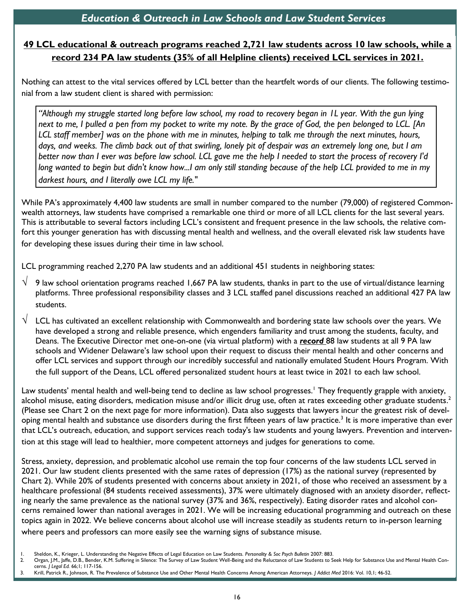# **49 LCL educational & outreach programs reached 2,721 law students across 10 law schools, while a record 234 PA law students (35% of all Helpline clients) received LCL services in 2021.**

Nothing can attest to the vital services offered by LCL better than the heartfelt words of our clients. The following testimonial from a law student client is shared with permission:

*"Although my struggle started long before law school, my road to recovery began in 1L year. With the gun lying next to me, I pulled a pen from my pocket to write my note. By the grace of God, the pen belonged to LCL. [An LCL staff member] was on the phone with me in minutes, helping to talk me through the next minutes, hours, days, and weeks. The climb back out of that swirling, lonely pit of despair was an extremely long one, but I am better now than I ever was before law school. LCL gave me the help I needed to start the process of recovery I'd long wanted to begin but didn't know how...I am only still standing because of the help LCL provided to me in my darkest hours, and I literally owe LCL my life."*

While PA's approximately 4,400 law students are small in number compared to the number (79,000) of registered Commonwealth attorneys, law students have comprised a remarkable one third or more of all LCL clients for the last several years. This is attributable to several factors including LCL's consistent and frequent presence in the law schools, the relative comfort this younger generation has with discussing mental health and wellness, and the overall elevated risk law students have for developing these issues during their time in law school.

LCL programming reached 2,270 PA law students and an additional 451 students in neighboring states:

- $\sqrt{9}$  law school orientation programs reached 1,667 PA law students, thanks in part to the use of virtual/distance learning platforms. Three professional responsibility classes and 3 LCL staffed panel discussions reached an additional 427 PA law students.
- $\sqrt{-L}$  LCL has cultivated an excellent relationship with Commonwealth and bordering state law schools over the years. We have developed a strong and reliable presence, which engenders familiarity and trust among the students, faculty, and Deans. The Executive Director met one-on-one (via virtual platform) with a *record* 88 law students at all 9 PA law schools and Widener Delaware's law school upon their request to discuss their mental health and other concerns and offer LCL services and support through our incredibly successful and nationally emulated Student Hours Program. With the full support of the Deans, LCL offered personalized student hours at least twice in 2021 to each law school.

Law students' mental health and well-being tend to decline as law school progresses.<sup>1</sup> They frequently grapple with anxiety, alcohol misuse, eating disorders, medication misuse and/or illicit drug use, often at rates exceeding other graduate students. $^2$ (Please see Chart 2 on the next page for more information). Data also suggests that lawyers incur the greatest risk of developing mental health and substance use disorders during the first fifteen years of law practice.<sup>3</sup> It is more imperative than ever that LCL's outreach, education, and support services reach today's law students and young lawyers. Prevention and intervention at this stage will lead to healthier, more competent attorneys and judges for generations to come.

Stress, anxiety, depression, and problematic alcohol use remain the top four concerns of the law students LCL served in 2021. Our law student clients presented with the same rates of depression (17%) as the national survey (represented by Chart 2). While 20% of students presented with concerns about anxiety in 2021, of those who received an assessment by a healthcare professional (84 students received assessments), 37% were ultimately diagnosed with an anxiety disorder, reflecting nearly the same prevalence as the national survey (37% and 36%, respectively). Eating disorder rates and alcohol concerns remained lower than national averages in 2021. We will be increasing educational programming and outreach on these topics again in 2022. We believe concerns about alcohol use will increase steadily as students return to in-person learning where peers and professors can more easily see the warning signs of substance misuse.

1. Sheldon, K., Krieger, L. Understanding the Negative Effects of Legal Education on Law Students. *Personality & Soc Psych Bulletin* 2007: 883.

3. Krill, Patrick R., Johnson, R. The Prevalence of Substance Use and Other Mental Health Concerns Among American Attorneys. *J Addict Med* 2016: Vol. 10,1; 46-52.

<sup>2.</sup> Organ, J.M., Jaffe, D.B., Bender, K.M. Suffering in Silence: The Survey of Law Student Well-Being and the Reluctance of Law Students to Seek Help for Substance Use and Mental Health Concerns. *J Legal Ed.* 66;1; 117-156.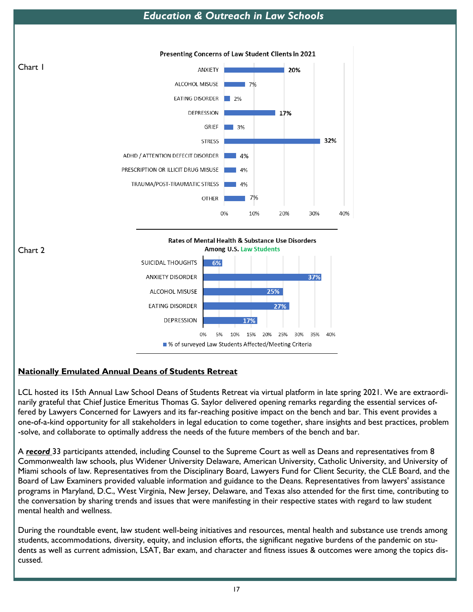# *Education & Outreach in Law Schools*





## **Nationally Emulated Annual Deans of Students Retreat**

LCL hosted its 15th Annual Law School Deans of Students Retreat via virtual platform in late spring 2021. We are extraordinarily grateful that Chief Justice Emeritus Thomas G. Saylor delivered opening remarks regarding the essential services offered by Lawyers Concerned for Lawyers and its far-reaching positive impact on the bench and bar. This event provides a one-of-a-kind opportunity for all stakeholders in legal education to come together, share insights and best practices, problem -solve, and collaborate to optimally address the needs of the future members of the bench and bar.

A *record* 33 participants attended, including Counsel to the Supreme Court as well as Deans and representatives from 8 Commonwealth law schools, plus Widener University Delaware, American University, Catholic University, and University of Miami schools of law. Representatives from the Disciplinary Board, Lawyers Fund for Client Security, the CLE Board, and the Board of Law Examiners provided valuable information and guidance to the Deans. Representatives from lawyers' assistance programs in Maryland, D.C., West Virginia, New Jersey, Delaware, and Texas also attended for the first time, contributing to the conversation by sharing trends and issues that were manifesting in their respective states with regard to law student mental health and wellness.

During the roundtable event, law student well-being initiatives and resources, mental health and substance use trends among students, accommodations, diversity, equity, and inclusion efforts, the significant negative burdens of the pandemic on students as well as current admission, LSAT, Bar exam, and character and fitness issues & outcomes were among the topics discussed.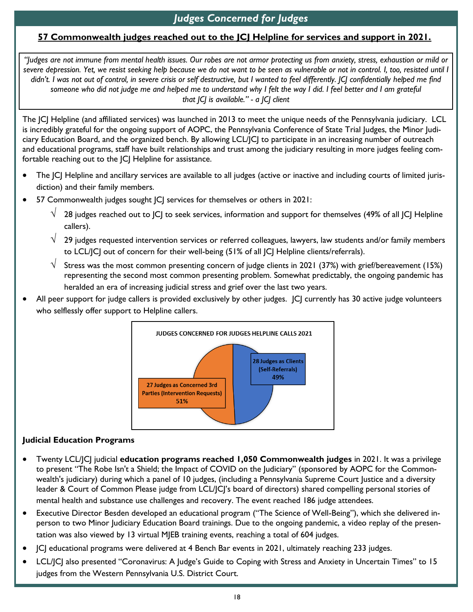# *Judges Concerned for Judges*

## **57 Commonwealth judges reached out to the JCJ Helpline for services and support in 2021.**

*"Judges are not immune from mental health issues. Our robes are not armor protecting us from anxiety, stress, exhaustion or mild or severe depression. Yet, we resist seeking help because we do not want to be seen as vulnerable or not in control. I, too, resisted until I*  didn't. I was not out of control, in severe crisis or self destructive, but I wanted to feel differently. [C] confidentially helped me find someone who did not judge me and helped me to understand why I felt the way I did. I feel better and I am grateful *that JCJ is available." - a JCJ client*

The JCJ Helpline (and affiliated services) was launched in 2013 to meet the unique needs of the Pennsylvania judiciary. LCL is incredibly grateful for the ongoing support of AOPC, the Pennsylvania Conference of State Trial Judges, the Minor Judiciary Education Board, and the organized bench. By allowing LCL/JCJ to participate in an increasing number of outreach and educational programs, staff have built relationships and trust among the judiciary resulting in more judges feeling comfortable reaching out to the  $|C|$  Helpline for assistance.

- The  $|C|$  Helpline and ancillary services are available to all judges (active or inactive and including courts of limited jurisdiction) and their family members.
- 57 Commonwealth judges sought JCJ services for themselves or others in 2021:
	- $\sqrt{-28}$  judges reached out to JCJ to seek services, information and support for themselves (49% of all JCJ Helpline callers).
	- $\sqrt{-29}$  judges requested intervention services or referred colleagues, lawyers, law students and/or family members to LCL/JCJ out of concern for their well-being (51% of all JCJ Helpline clients/referrals).
	- $\sqrt{-\,}$  Stress was the most common presenting concern of judge clients in 2021 (37%) with grief/bereavement (15%) representing the second most common presenting problem. Somewhat predictably, the ongoing pandemic has heralded an era of increasing judicial stress and grief over the last two years.
- All peer support for judge callers is provided exclusively by other judges. [C] currently has 30 active judge volunteers who selflessly offer support to Helpline callers.



#### **Judicial Education Programs**

- Twenty LCL/JCJ judicial **education programs reached 1,050 Commonwealth judges** in 2021. It was a privilege to present "The Robe Isn't a Shield; the Impact of COVID on the Judiciary" (sponsored by AOPC for the Commonwealth's judiciary) during which a panel of 10 judges, (including a Pennsylvania Supreme Court Justice and a diversity leader & Court of Common Please judge from LCL/JCJ's board of directors) shared compelling personal stories of mental health and substance use challenges and recovery. The event reached 186 judge attendees.
- Executive Director Besden developed an educational program ("The Science of Well-Being"), which she delivered inperson to two Minor Judiciary Education Board trainings. Due to the ongoing pandemic, a video replay of the presentation was also viewed by 13 virtual MJEB training events, reaching a total of 604 judges.
- JCJ educational programs were delivered at 4 Bench Bar events in 2021, ultimately reaching 233 judges.
- LCL/JCJ also presented "Coronavirus: A Judge's Guide to Coping with Stress and Anxiety in Uncertain Times" to 15 judges from the Western Pennsylvania U.S. District Court.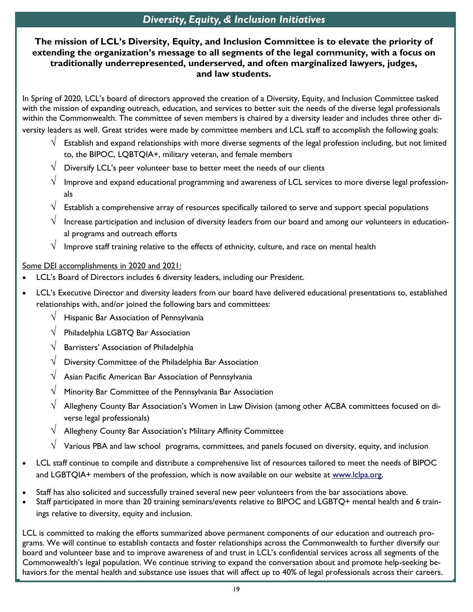# *Diversity, Equity, & Inclusion Initiatives*

### **The mission of LCL's Diversity, Equity, and Inclusion Committee is to elevate the priority of extending the organization's message to all segments of the legal community, with a focus on traditionally underrepresented, underserved, and often marginalized lawyers, judges, and law students.**

In Spring of 2020, LCL's board of directors approved the creation of a Diversity, Equity, and Inclusion Committee tasked with the mission of expanding outreach, education, and services to better suit the needs of the diverse legal professionals within the Commonwealth. The committee of seven members is chaired by a diversity leader and includes three other diversity leaders as well. Great strides were made by committee members and LCL staff to accomplish the following goals:

- $\sqrt{-2}$  Establish and expand relationships with more diverse segments of the legal profession including, but not limited to, the BIPOC, LQBTQIA+, military veteran, and female members
- $\sqrt{\phantom{a}}$  Diversify LCL's peer volunteer base to better meet the needs of our clients
- $\sqrt{-}$  Improve and expand educational programming and awareness of LCL services to more diverse legal professionals
- Establish a comprehensive array of resources specifically tailored to serve and support special populations
- $\vee$  Increase participation and inclusion of diversity leaders from our board and among our volunteers in educational programs and outreach efforts
- $\sqrt{-1}$  Improve staff training relative to the effects of ethnicity, culture, and race on mental health

Some DEI accomplishments in 2020 and 2021:

- LCL's Board of Directors includes 6 diversity leaders, including our President.
- LCL's Executive Director and diversity leaders from our board have delivered educational presentations to, established relationships with, and/or joined the following bars and committees:
	- $\sqrt{\phantom{a}}$  Hispanic Bar Association of Pennsylvania
	- $\sqrt{\phantom{a}}$  Philadelphia LGBTQ Bar Association
	- Barristers' Association of Philadelphia
	- Diversity Committee of the Philadelphia Bar Association
	- Asian Pacific American Bar Association of Pennsylvania
	- Minority Bar Committee of the Pennsylvania Bar Association
	- Allegheny County Bar Association's Women in Law Division (among other ACBA committees focused on diverse legal professionals)
	- $\sqrt{\phantom{a}}$  Allegheny County Bar Association's Military Affinity Committee
	- $\sqrt{-V}$  Various PBA and law school programs, committees, and panels focused on diversity, equity, and inclusion
- LCL staff continue to compile and distribute a comprehensive list of resources tailored to meet the needs of BIPOC and LGBTQIA+ members of the profession, which is now available on our website at [www.lclpa.org.](https://www.lclpa.org/wp-content/uploads/2021/08/BIPOC-LGBTQIA-Resources-2021-1.pdf)
- Staff has also solicited and successfully trained several new peer volunteers from the bar associations above.
- Staff participated in more than 20 training seminars/events relative to BIPOC and LGBTQ+ mental health and 6 trainings relative to diversity, equity and inclusion.

LCL is committed to making the efforts summarized above permanent components of our education and outreach programs. We will continue to establish contacts and foster relationships across the Commonwealth to further diversify our board and volunteer base and to improve awareness of and trust in LCL's confidential services across all segments of the Commonwealth's legal population. We continue striving to expand the conversation about and promote help-seeking behaviors for the mental health and substance use issues that will affect up to 40% of legal professionals across their careers.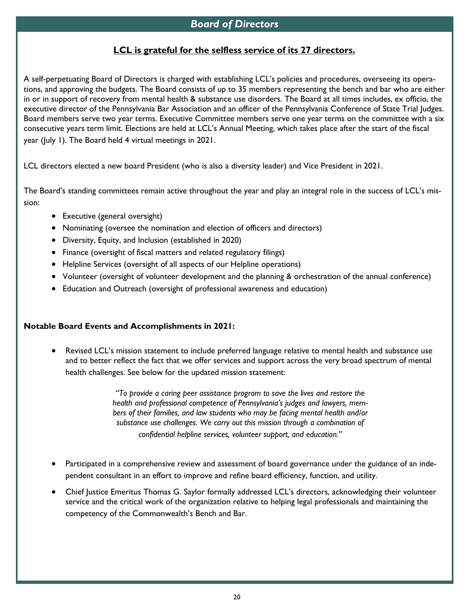## *Board of Directors*

#### **LCL is grateful for the selfless service of its 27 directors.**

A self-perpetuating Board of Directors is charged with establishing LCL's policies and procedures, overseeing its operations, and approving the budgets. The Board consists of up to 35 members representing the bench and bar who are either in or in support of recovery from mental health & substance use disorders. The Board at all times includes, ex officio, the executive director of the Pennsylvania Bar Association and an officer of the Pennsylvania Conference of State Trial Judges. Board members serve two year terms. Executive Committee members serve one year terms on the committee with a six consecutive years term limit. Elections are held at LCL's Annual Meeting, which takes place after the start of the fiscal year (July 1). The Board held 4 virtual meetings in 2021.

LCL directors elected a new board President (who is also a diversity leader) and Vice President in 2021.

The Board's standing committees remain active throughout the year and play an integral role in the success of LCL's mission:

- Executive (general oversight)
- Nominating (oversee the nomination and election of officers and directors)
- Diversity, Equity, and Inclusion (established in 2020)
- Finance (oversight of fiscal matters and related regulatory filings)
- Helpline Services (oversight of all aspects of our Helpline operations)
- Volunteer (oversight of volunteer development and the planning & orchestration of the annual conference)
- Education and Outreach (oversight of professional awareness and education)

#### **Notable Board Events and Accomplishments in 2021:**

• Revised LCL's mission statement to include preferred language relative to mental health and substance use and to better reflect the fact that we offer services and support across the very broad spectrum of mental health challenges. See below for the updated mission statement:

> *"To provide a caring peer assistance program to save the lives and restore the health and professional competence of Pennsylvania's judges and lawyers, members of their families, and law students who may be facing mental health and/or substance use challenges. We carry out this mission through a combination of confidential helpline services, volunteer support, and education."*

- Participated in a comprehensive review and assessment of board governance under the guidance of an independent consultant in an effort to improve and refine board efficiency, function, and utility.
- Chief Justice Emeritus Thomas G. Saylor formally addressed LCL's directors, acknowledging their volunteer service and the critical work of the organization relative to helping legal professionals and maintaining the competency of the Commonwealth's Bench and Bar.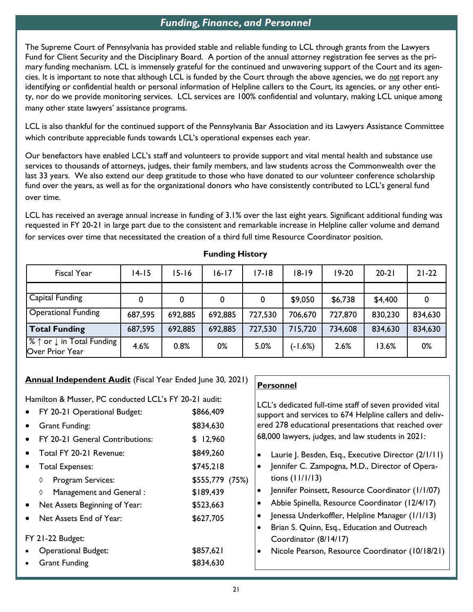# *Funding, Finance, and Personnel*

The Supreme Court of Pennsylvania has provided stable and reliable funding to LCL through grants from the Lawyers Fund for Client Security and the Disciplinary Board. A portion of the annual attorney registration fee serves as the primary funding mechanism. LCL is immensely grateful for the continued and unwavering support of the Court and its agencies. It is important to note that although LCL is funded by the Court through the above agencies, we do *not* report any identifying or confidential health or personal information of Helpline callers to the Court, its agencies, or any other entity, nor do we provide monitoring services. LCL services are 100% confidential and voluntary, making LCL unique among many other state lawyers' assistance programs.

LCL is also thankful for the continued support of the Pennsylvania Bar Association and its Lawyers Assistance Committee which contribute appreciable funds towards LCL's operational expenses each year.

Our benefactors have enabled LCL's staff and volunteers to provide support and vital mental health and substance use services to thousands of attorneys, judges, their family members, and law students across the Commonwealth over the last 33 years. We also extend our deep gratitude to those who have donated to our volunteer conference scholarship fund over the years, as well as for the organizational donors who have consistently contributed to LCL's general fund over time.

LCL has received an average annual increase in funding of 3.1% over the last eight years. Significant additional funding was requested in FY 20-21 in large part due to the consistent and remarkable increase in Helpline caller volume and demand for services over time that necessitated the creation of a third full time Resource Coordinator position.

| Fiscal Year                                                                  | $14 - 15$ | 15-16   | $16 - 17$ | 17-18   | $18 - 19$ | $19-20$ | $20 - 21$ | $21 - 22$ |
|------------------------------------------------------------------------------|-----------|---------|-----------|---------|-----------|---------|-----------|-----------|
|                                                                              |           |         |           |         |           |         |           |           |
| Capital Funding                                                              | 0         | 0       |           | 0       | \$9,050   | \$6,738 | \$4,400   |           |
| <b>Operational Funding</b>                                                   | 687,595   | 692,885 | 692,885   | 727,530 | 706,670   | 727,870 | 830,230   | 834,630   |
| <b>Total Funding</b>                                                         | 687,595   | 692,885 | 692,885   | 727,530 | 715,720   | 734,608 | 834,630   | 834,630   |
| $\frac{1}{2}$ $\uparrow$ or $\downarrow$ in Total Funding<br>Over Prior Year | 4.6%      | 0.8%    | 0%        | 5.0%    | $(-1.6%)$ | 2.6%    | 13.6%     | 0%        |

**Personnel**

#### **Funding History**

#### **Annual Independent Audit** (Fiscal Year Ended June 30, 2021)

| Hamilton & Musser, PC conducted LCL's FY 20-21 audit: | LCL's dedicated full-time staff of seven provided vital |                                                                  |  |  |
|-------------------------------------------------------|---------------------------------------------------------|------------------------------------------------------------------|--|--|
| • FY 20-21 Operational Budget:                        | \$866,409                                               | support and services to 674 Helpline callers and deliv-          |  |  |
| Grant Funding:                                        | \$834,630                                               | ered 278 educational presentations that reached over             |  |  |
| FY 20-21 General Contributions:                       | \$12,960                                                | 68,000 lawyers, judges, and law students in 2021:                |  |  |
| Total FY 20-21 Revenue:                               | \$849,260                                               | Laurie J. Besden, Esq., Executive Director (2/1/11)<br>$\bullet$ |  |  |
| Total Expenses:                                       | \$745,218                                               | Jennifer C. Zampogna, M.D., Director of Opera-<br>$\bullet$      |  |  |
| <b>Program Services:</b><br>♦                         | \$555,779 (75%)                                         | tions $(11/1/13)$                                                |  |  |
| Management and General :<br>♦                         | \$189,439                                               | Jennifer Poinsett, Resource Coordinator (1/1/07)<br>$\bullet$    |  |  |
| Net Assets Beginning of Year:                         | \$523,663                                               | Abbie Spinella, Resource Coordinator (12/4/17)<br>$\bullet$      |  |  |
| Net Assets End of Year:                               | \$627,705                                               | Jenessa Underkoffler, Helpline Manager (1/1/13)<br>$\bullet$     |  |  |
|                                                       |                                                         | Brian S. Quinn, Esq., Education and Outreach                     |  |  |
| FY 21-22 Budget:                                      |                                                         | Coordinator (8/14/17)                                            |  |  |
| <b>Operational Budget:</b>                            | \$857,621                                               | Nicole Pearson, Resource Coordinator (10/18/21)<br>$\bullet$     |  |  |
| <b>Grant Funding</b>                                  | \$834,630                                               |                                                                  |  |  |